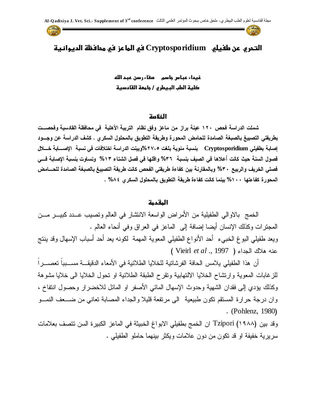

# **اضتحري رن طفيضي Cryptosporidium سي اضطارز سي طحاسظة اضديواظية**

غيداء عباس جا**سم مفاء رسن عبد الله صضية اضطب اضبيطري / جاطعة اضقاددية**

### **اضخالصة**

شملت الدراسة فحص ١٢٠ عينة براز من ماعز وفق نظام التربية الأهلية في محافظة القادسية وفحصــت بطريقتي التصبيغ بالصبغة الصامدة للحامض المحورة وطريقة التطويق بالمحلول السكري . كشف الدراسة عن وجـــود إصابة بطفيلي Cryptosporidium بنسبة مئوية بلغ*ت ٢٧،٥%*وبينت الدراسة اختلافات في نسبة الإصـــابة خـــلل فصول السنة حيث كانت أعلاها في الصيف بنسبة ٣٦% واقلها في فصل الشتاء ١٣% وتساوت بنسبة الإصابة فــي فصلى الخريف والربيع ٣٠% وبالمقارنة بين كفاءة طريقتي الفحص كانت طريقة التصبيغ بالصبغة الصامدة للحسامض المحورة كفاءتها ١٠٠% بينما كانت كفاءة طريقة التطويق بالمحلول السكرى ٤٨٨٤ .

#### **اضطقدطة**

الخمج بالاوالى الطفيلية من الأمراض الواسعة الانتشار في العالم وتصيب عــدد كبيـــر مـــن المجترات وكذلك الإنسان أيضا إضافة إلى الماعز في العراق وفي أنحاء العالم . ويعد طفيلي البوغ الخبيء أحد الأنواع الطفيلي المعوية المهمة لكونه يعد أحد أسباب الإسهال وقد ينتج Vieirl *et al* ., 1997

أن هذا الطفيلي يلامس الحافة الفرشاتية للخلايا الطلائية في الأمعاء الدقيقـــة مســـبباً تعصــــراً للزغابات المعوية وارتشاح الخلايا الالتهابية وتقرح الطبقة الطلائية او تحول الخلايا الى خلايا مشوهة وكذلك يؤدي إلى فقدان الشهية وحدوث الإسهال المائي الأصفر او المائل للاخضرار وحصول انتفاخ ، وإن درجة حرارة المستقم تكون طبيعية "الى مرتفعة قليلا والجداء المصابة تعانى من ضـــعف النمـــو (Pohlenz, 1980

وقد بين Tzipori (١٩٨٨) ان الخمج بطفيلي الابواغ الخبيثة في الماعز الكبيرة السن تتصف بعلامات سريرية خفيفة او قد تكون من دون علامات ويكثر بينهما حاملو الطفيلي .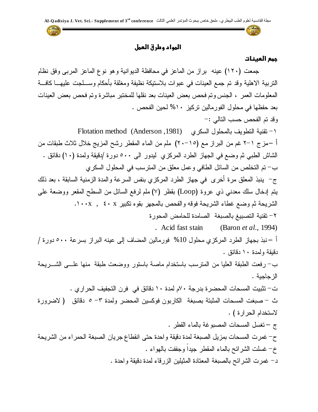**اضطواد وطرق اضعطل** 

### **جطع اضعيظات**

جمعت (١٢٠) عينه براز من الماعز في محافظة الديوانية و هو نوع الماعز المربي وفق نظام النربية الاهلية وقد نم جمع العينات في عبوات بلاستيكة نظيفة ومغلقة بأحكام وســـلجت عليهــــا كافــــة المعلومات العمر ، الجنس وتم فحص بعض العينات بعد نقلها للمختبر مباشرة وتم فحص بعض العينات بعد حفظها في محلول الفورمالين تركيز ١٠% لحين الفحص . وقد تم الفحص حسب النالي :-Flotation method (Anderson ,1981) أ –مز ج ١–٢ غم من البر از مـع (١٥–٢٠) ملم من المـاء المقطر رشح المزيـج خلال ثلاث طبقات من الشاش الطبي ثم وضع في الجهاز الطرد المركزي ليدور الى ٥٠٠ دورة /دقيقة ولمدة (١٠) دقائق . ب– تم التخلص من السائل الطافي وعمل معلق من المترسب في المحلول السكري ج– ينبذ المعلق مرة أخرى في جهاز الطرد المركزي بنفس السرعة والمدة الزمنية السابقة ، بعد ذلك يتم إدخال سلك معدني ذي عروة (Loop) بقظر (٧) ملم لرفع السائل من السطح المقعر ووضعة على الشريحة ثم وضع غطاء الشريحة فوقه والفحص بالمجهر بقوه تكبير x · x , x · x . ٢– تقنية التصبيغ بالصبغة الصامدة للحامض المحورة Acid fast stain (Baron *et al*., 1994) أ – نبذ بجهاز الطرد المركز ي محلول 10% فور مالين المضاف إلى عينه البر از بسر عة ٥٠٠ دور ة / دقبقة ولمدة ١٠ دقائق . ب– رفعت الطبقة العليا من المنرسب باستخدام ماصة باستور ووضعت طبقة منها علـــى الشـــريحة الز جاجبة . ت– تثبيت المسحات المحضرة بدرجة ٧٠م لمدة ١٠ دقائق في فرن التجفيف الحرارى . ث – صبغت المسحات المثبتة بصبغة الكاربون فوكسين المحضر ولمدة ٣ – ٥ دقائق ( لاضرورة لاستخدام الحرارة) . ج – تغسل المسحات المصبوغة بالماء القطر . ح– غمرت المسحات بمزيل الصبغة لمدة دقيقة واحدة حتى انقطاع جريان الصبغة الحمراء من الشريحة خ- غسلت الشرائح بالماء المقطر جيداً وجففت بالهواء . د– غمرت الشرائح بالصبغة المعتادة المثيلين الزرقاء لمدة دقيقة واحدة .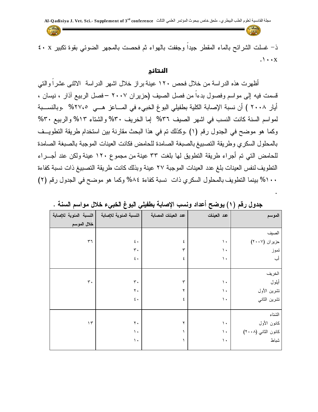The

ذ- غسلت الشرائح بالماء المقطر جيداً وجففت بالهواء ثم فحصت بالمجهر الضوئي بقوة تكبير x · x  $\cdot \cdot \cdot x$ 

#### **اضظتائج**

أظهرت هذه الدراسة من خلال فحص ١٢٠ عينة براز خلال اشهر الدراسة الاثنـى عشراً والتي قسمت فيه إلى مواسم وفصول بدءاً من فصل الصيف (حزير ان ٢٠٠٧ –فصل الربيع آذار ، نيسان ، أيار ٢٠٠٨ ) أن نسبة الإصابة الكلية بطفيلي البوغ الخبيء في المساعز هــي ٢٧،٥% .وبالنســـبة لمواسم السنة كانت النسب في اشهر الصيف ٣٦% إما الخريف ٣٠% والشتاء ١٣% والربيع ٣٠% وكما هو موضح في الجدول رقم (١) .وكذلك تم في هذا البحث مقارنة بين استخدام طريقة التطويــف بالمحلول السكرى وطريقة التصبيغ بالصبغة الصامدة للحامض فكانت العينات الموجبة بالصبغة الصامدة للحامض التي تم أجراء طريقة التطويق لها بلغت ٣٣ عينة من مجموع ١٢٠ عينة ولكن عند أجـــراء النطويف لنفس العينات بلغ عدد العينات الموجبة ٢٧ عينة وبذلك كانت طريقة التصبيغ ذات نسبة كفاءة ١٠٠% بينما التطويف بالمحلول السكري ذات نسبة كفاءة ٨٤% وكما هو موضح في الجدول رقم (٢)

| النسبة المئوية للإصابة | النسبة المئوية للإصابة | عد العينات المصابة | عد العينات    | الموسم              |
|------------------------|------------------------|--------------------|---------------|---------------------|
| خلال الموسم            |                        |                    |               |                     |
|                        |                        |                    |               | الصيف               |
| $\tau\tau$             | $\pmb{\xi}$ .          | ٤                  | $\mathcal{N}$ | حزیران (۲۰۰۷)       |
|                        | $\mathbf{r}$ .         | ٣                  | $\mathcal{N}$ | تموز                |
|                        | $\pmb{\xi}$ .          | ٤                  | $\mathcal{N}$ | أب                  |
|                        |                        |                    |               |                     |
|                        |                        |                    |               | الخريف              |
| $\mathbf{r}$ .         | $\mathbf{r}$ .         | ٣                  | $\mathcal{N}$ | أيلول               |
|                        | $\mathbf{Y}$ .         | ۲                  | $\mathcal{N}$ | نشرين الأول         |
|                        | $\pmb{\xi}$ .          | ٤                  | $\mathcal{N}$ | نشرين الثاني        |
|                        |                        |                    |               |                     |
|                        |                        |                    |               | الشناء              |
| $\mathcal{L}$          | $\mathbf{Y}$ .         | ۲                  | $\mathcal{N}$ | كانون الأول         |
|                        | $\mathcal{N}$          |                    | $\mathcal{N}$ | كانون الثاني (٢٠٠٨) |
|                        | $\mathcal{N}$          | ١                  | $\mathcal{N}$ | شباط                |
|                        |                        |                    |               |                     |

| جدول رقم (١) يوضح أعداد ونسب الإصابة بطفيلي البوغ الخبيء خلال مواسم السنة |  |
|---------------------------------------------------------------------------|--|
|---------------------------------------------------------------------------|--|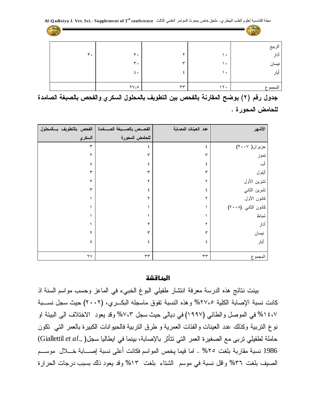**conference rd** مجلة القادسية لعلوم الطب البيطري- ملحق خاص ببحوث المؤتمر العلمي الثالث **3 of Supplement .-Sci .Vet .J adisiya Q-Al**

| Chanta da      |                      |            |                      | a della |
|----------------|----------------------|------------|----------------------|---------|
|                |                      |            |                      | الربيع  |
| $\mathbf{r}$ . | $\mathbf{y}$ .       |            | $\ddot{\phantom{1}}$ | آذار    |
|                | $\mathbf{r}$ .       | س          | $\bullet$            | نيسان   |
|                | $\epsilon$ .         |            | $\bullet$            | أيار    |
|                |                      |            |                      |         |
|                | $\forall V \in \Phi$ | $\tau\tau$ | 17.                  | المجموع |

جدول رقم (٢) يوضح المقارنة بالفحص بين التطويف بالمحلول السكري والفحص بالصبغة الصامدة للحامض المحور ة .

| الفحص بالتطويف بالمحلول | الفحــص بالصـــبغة الصـــــامدة | عد العينات المصابة | الأشهر                                         |
|-------------------------|---------------------------------|--------------------|------------------------------------------------|
| السكري                  | للحامض المحورة                  |                    |                                                |
| ٣                       | ٤                               | ٤                  | $(\mathbf{Y}\cdot\mathbf{Y}^{\prime})$ حزیر ان |
|                         | ٣                               | ٣                  | تموز                                           |
| ٤                       | ٤                               | ٤                  | أب                                             |
| ٣                       | ٣                               | ٣                  | أبلول                                          |
|                         | ۲                               |                    | نشرين الأول                                    |
| ۳                       | ٤                               | ٤                  | تشرين الثاني                                   |
|                         | ۲                               |                    | كانون الأول                                    |
|                         |                                 |                    | كانون الثاني (٢٠٠٨)                            |
|                         |                                 |                    | شباط                                           |
|                         | ۲                               |                    | آذار                                           |
|                         | ٣                               | ٣                  | نبسان                                          |
| ٤                       | ٤                               | ٤                  | أيار                                           |
|                         |                                 |                    |                                                |
| $\mathbf{Y} \mathbf{V}$ | $\tau\tau$                      | ٣٣                 | المجموع                                        |

### **اضطظاشذة**

بينت نتائج هذه الدرسة معرفة انتشار طفيلي البوغ الخبيء في الماعز وحسب مواسم السنة اذ كانت نسبة الإصابة الكلية ٢٧،٥% وهذه النسبة تفوق ماسجله البكـري، (٢٠٠٢) حيث سجل نســبة ٤،٧ ٥% في الموصل والطائي (١٩٩٧) في ديالي حيث سجل ٧،٣% وقد يعود الاختلاف الى البيئة او نوع النربية وكذلك عدد العينات والفئات العمرية و طرق النربية فالحيوانات الكبيرة بالعمر التبي نكون (Giallettil *et al*., 1986 نسبة مقاربة بلغت ٢٥% . اما فيما يخص المواسم فكانت أعلى نسبة إصـــابة خــلال موســـم الصيف بلغت ٣٦% وإقل نسبة في موسم الشتاء بلغت ١٣% وقد يعود ذلك بسبب درجات الحرارة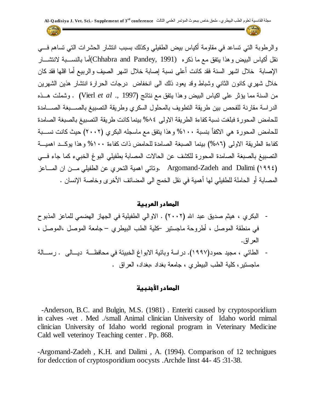**conference rd** مجلة القادسية لعلوم الطب البيطري- ملحق خاص ببحوث المؤتمر العلمي الثالث **3 of Supplement .-Sci .Vet .J adisiya Q-Al**

 $=$ 

والرطوبة التي تساعد في مقاومة أكياس بيض الطفيلي وكذلك بسبب انتشار الحشرات التي تساهم فـــي نقل أكياس البيض و هذا يتفق مـع مـا نكر ه (Chhabra and Pandey, 1991)أما بالنســـبة لانتشـــار الإصابة خلال اشهر السنة فقد كانت أعلى نسبة إصابة خلال اشهر الصيف والربيع أما اقلها فقد كان خلال شهري كانون الثاني وشباط وقد يعود ذلك الى انخفاض درجات الحرارة انتشار هذين الشهرين Vierl *et al* ., 1997 الدراسة مقارنة للفحص بين طريقة التطويف بالمحلول السكري وطريقة التصبيغ بالصبغة الصلمدة للحامض المحورة فبلغت نسبة كفاءة الطريقة الاولى ٤٨% بينما كانت طريقة التصبيغ بالصبغة الصامدة للحامض المحورة هي الاكفأ بنسبة ١٠٠% و هذا يتفق مع ماسجله البكري (٢٠٠٢) حيث كانت نســبة كفاءة الطريقة الاولى (٨٦%) بينما الصبغة الصامدة للحامض ذات كفاءة ١٠٠% وهذا يوكـد اهميــة التصبيغ بالصبغة الصامدة المحورة للكشف عن الحالات المصابة بطفيلي البوغ الخبيء كما جاء فسى Argomand-Zadeh and Dalimi (١٩٩٤). Argomand-Zadeh and Dalimi (١٩٩٤) المصابة أو الحاملة للطفيلي لها أهمية في نقل الخمج الى المضائف الأخرى وخاصة الإنسان .

## **اضطصادر اضعربية**

- البكر ي ، هيثم صديق عبد الله (٢٠٠٢) . الاوالي الطفيلية في الجهاز الهضمي للماعز المذبوح في منطقة الموصل ، أطروحة ماجستير كلية الطب البيطري – جامعة الموصل ،الموصل ، العر اق.
- الطائي ، مجيد حمود(١٩٩٧). در اسة وبائية الابواغ الخبيئة في محافظـــة ديـــالي . رســـالة ماجستير، كلَّية الطب البيطري ، جامعة بغداد ،بغداد، العراق .

## **المصادر الأجنبية**

 -Anderson, B.C. and Bulgin, M.S. (1981) . Enteriti caused by cryptosporidium in calves -vet . Med ./small Animal clinician University of Idaho world rnimal clinician University of Idaho world regional program in Veterinary Medicine Cald well veterinoy Teaching center . Pp. 868.

-Argomand-Zadeh , K.H. and Dalimi , A. (1994). Comparison of 12 technigues for dedcction of cryptosporidium oocysts .Archde Iinst 44- 45 :31-38.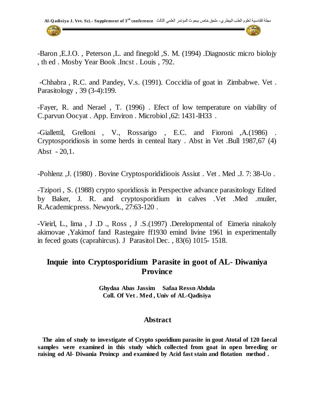

-Baron ,E.J.O. , Peterson ,L. and finegold ,S. M. (1994) .Diagnostic micro biolojy , th ed . Mosby Year Book .Incst . Louis , 792.

-Chhabra , R.C. and Pandey, V.s. (1991). Coccidia of goat in Zimbabwe. Vet . Parasitology , 39 (3-4):199.

-Fayer, R. and Nerael , T. (1996) . Efect of low temperature on viability of C.parvun Oocyat . App. Environ . Microbiol ,62: 1431-lH33 .

-Giallettil, Grelloni , V., Rossarigo , E.C. and Fioroni ,A.(1986) . Cryptosporidiosis in some herds in centeal Itary . Abst in Vet .Bull 1987,67 (4) Abst  $-20,1$ .

-Pohlenz ,J. (1980) . Bovine Cryptosporididioois Assiut . Vet . Med .J. 7: 38-Uo .

-Tzipori , S. (1988) crypto sporidiosis in Perspective advance parasitology Edited by Baker, J. R. and cryptosporidium in calves .Vet .Med .muiler, R.Academicpress. Newyork., 27:63-120 .

-Vieirl, L., lima , J .D ., Ross , J .S.(1997) .Derelopmental of Eimeria ninakoly akimovae ,Yakimof fand Rastegaire ff1930 emind livine 1961 in experimentally in feced goats (caprahircus). J Parasitol Dec. , 83(6) 1015- 1518.

# **Inquie into Cryptosporidium Parasite in goot of AL- Diwaniya Province**

**Ghydaa Abas Jassim Safaa Ressn Abdula Coll. Of Vet . Med , Univ of AL-Qadisiya**

## **Abstract**

 **The aim of study to investigate of Crypto sporidium parasite in gout Atotal of 120 faecal samples were examined in this study which collected from goat in open breeding or raising od Al- Diwania Proincp and examined by Acid fast stain and flotation method .**